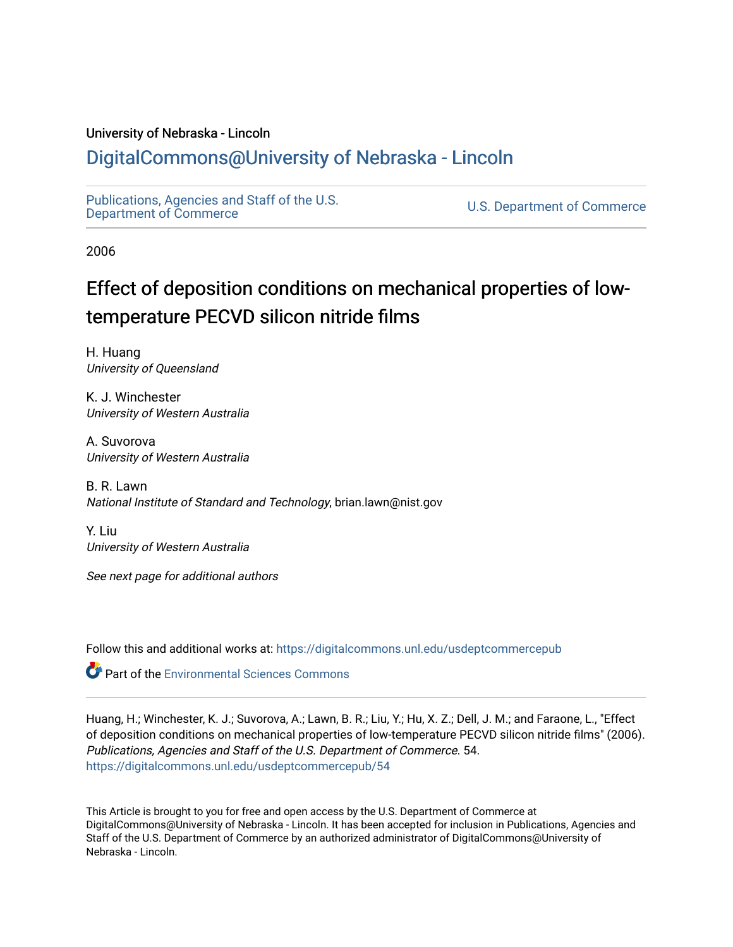### University of Nebraska - Lincoln

## [DigitalCommons@University of Nebraska - Lincoln](https://digitalcommons.unl.edu/)

[Publications, Agencies and Staff of the U.S.](https://digitalcommons.unl.edu/usdeptcommercepub)

U.S. [Department of Commerce](https://digitalcommons.unl.edu/usdeptcommercepub)

2006

# Effect of deposition conditions on mechanical properties of lowtemperature PECVD silicon nitride films

H. Huang University of Queensland

K. J. Winchester University of Western Australia

A. Suvorova University of Western Australia

B. R. Lawn National Institute of Standard and Technology, brian.lawn@nist.gov

Y. Liu University of Western Australia

See next page for additional authors

Follow this and additional works at: [https://digitalcommons.unl.edu/usdeptcommercepub](https://digitalcommons.unl.edu/usdeptcommercepub?utm_source=digitalcommons.unl.edu%2Fusdeptcommercepub%2F54&utm_medium=PDF&utm_campaign=PDFCoverPages)

Part of the [Environmental Sciences Commons](http://network.bepress.com/hgg/discipline/167?utm_source=digitalcommons.unl.edu%2Fusdeptcommercepub%2F54&utm_medium=PDF&utm_campaign=PDFCoverPages)

Huang, H.; Winchester, K. J.; Suvorova, A.; Lawn, B. R.; Liu, Y.; Hu, X. Z.; Dell, J. M.; and Faraone, L., "Effect of deposition conditions on mechanical properties of low-temperature PECVD silicon nitride films" (2006). Publications, Agencies and Staff of the U.S. Department of Commerce. 54. [https://digitalcommons.unl.edu/usdeptcommercepub/54](https://digitalcommons.unl.edu/usdeptcommercepub/54?utm_source=digitalcommons.unl.edu%2Fusdeptcommercepub%2F54&utm_medium=PDF&utm_campaign=PDFCoverPages) 

This Article is brought to you for free and open access by the U.S. Department of Commerce at DigitalCommons@University of Nebraska - Lincoln. It has been accepted for inclusion in Publications, Agencies and Staff of the U.S. Department of Commerce by an authorized administrator of DigitalCommons@University of Nebraska - Lincoln.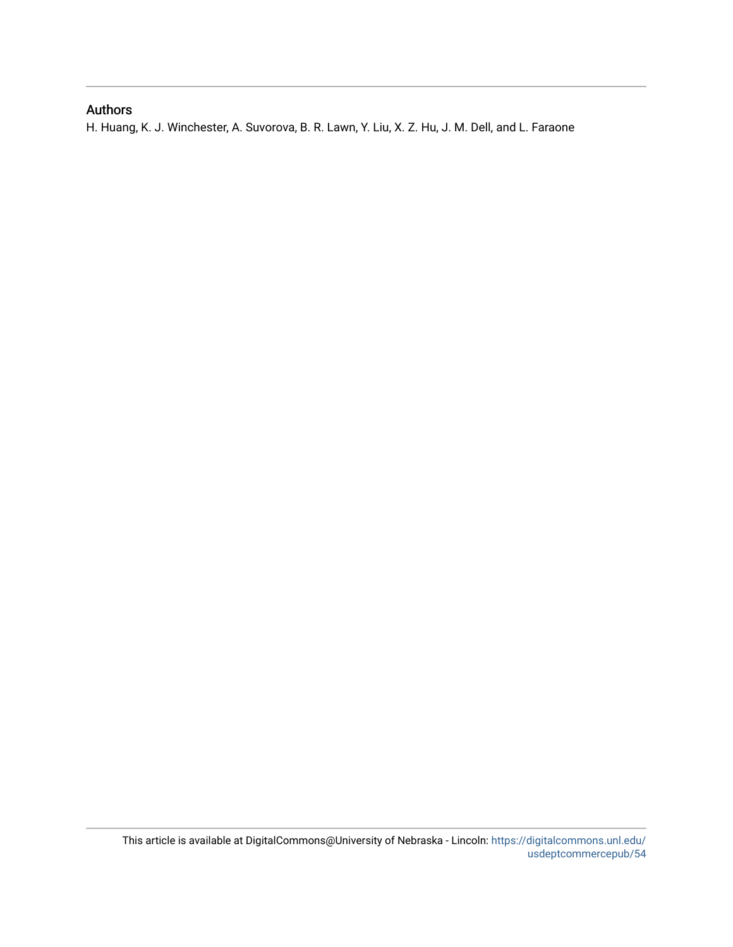## Authors

H. Huang, K. J. Winchester, A. Suvorova, B. R. Lawn, Y. Liu, X. Z. Hu, J. M. Dell, and L. Faraone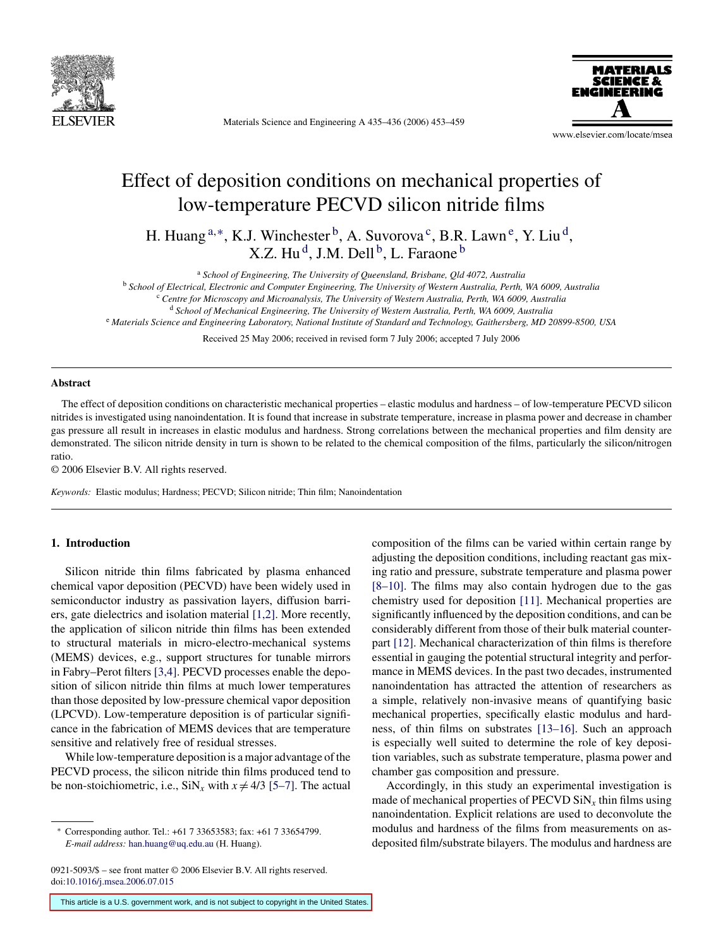

Materials Science and Engineering A 435–436 (2006) 453–459



www.elsevier.com/locate/msea

# Effect of deposition conditions on mechanical properties of low-temperature PECVD silicon nitride films

H. Huang  $a,*, K, J$ . Winchester  $b, A$ . Suvorova<sup>c</sup>, B.R. Lawn <sup>e</sup>, Y. Liu<sup>d</sup>, X.Z. Hu<sup>d</sup>, J.M. Dell<sup>b</sup>, L. Faraone<sup>b</sup>

<sup>a</sup> *School of Engineering, The University of Queensland, Brisbane, Qld 4072, Australia*

<sup>b</sup> *School of Electrical, Electronic and Computer Engineering, The University of Western Australia, Perth, WA 6009, Australia*

<sup>c</sup> *Centre for Microscopy and Microanalysis, The University of Western Australia, Perth, WA 6009, Australia*

<sup>d</sup> *School of Mechanical Engineering, The University of Western Australia, Perth, WA 6009, Australia*

<sup>e</sup> *Materials Science and Engineering Laboratory, National Institute of Standard and Technology, Gaithersberg, MD 20899-8500, USA*

Received 25 May 2006; received in revised form 7 July 2006; accepted 7 July 2006

#### **Abstract**

The effect of deposition conditions on characteristic mechanical properties – elastic modulus and hardness – of low-temperature PECVD silicon nitrides is investigated using nanoindentation. It is found that increase in substrate temperature, increase in plasma power and decrease in chamber gas pressure all result in increases in elastic modulus and hardness. Strong correlations between the mechanical properties and film density are demonstrated. The silicon nitride density in turn is shown to be related to the chemical composition of the films, particularly the silicon/nitrogen ratio.

© 2006 Elsevier B.V. All rights reserved.

*Keywords:* Elastic modulus; Hardness; PECVD; Silicon nitride; Thin film; Nanoindentation

#### **1. Introduction**

Silicon nitride thin films fabricated by plasma enhanced chemical vapor deposition (PECVD) have been widely used in semiconductor industry as passivation layers, diffusion barriers, gate dielectrics and isolation material [\[1,2\].](#page-7-0) More recently, the application of silicon nitride thin films has been extended to structural materials in micro-electro-mechanical systems (MEMS) devices, e.g., support structures for tunable mirrors in Fabry–Perot filters [\[3,4\]. P](#page-8-0)ECVD processes enable the deposition of silicon nitride thin films at much lower temperatures than those deposited by low-pressure chemical vapor deposition (LPCVD). Low-temperature deposition is of particular significance in the fabrication of MEMS devices that are temperature sensitive and relatively free of residual stresses.

While low-temperature deposition is a major advantage of the PECVD process, the silicon nitride thin films produced tend to be non-stoichiometric, i.e.,  $\text{SiN}_x$  with  $x \neq 4/3$  [\[5–7\]. T](#page-8-0)he actual

0921-5093/\$ – see front matter © 2006 Elsevier B.V. All rights reserved. doi[:10.1016/j.msea.2006.07.015](dx.doi.org/10.1016/j.msea.2006.07.015)

composition of the films can be varied within certain range by adjusting the deposition conditions, including reactant gas mixing ratio and pressure, substrate temperature and plasma power [\[8–10\].](#page-8-0) The films may also contain hydrogen due to the gas chemistry used for deposition [\[11\].](#page-8-0) Mechanical properties are significantly influenced by the deposition conditions, and can be considerably different from those of their bulk material counterpart [\[12\].](#page-8-0) Mechanical characterization of thin films is therefore essential in gauging the potential structural integrity and performance in MEMS devices. In the past two decades, instrumented nanoindentation has attracted the attention of researchers as a simple, relatively non-invasive means of quantifying basic mechanical properties, specifically elastic modulus and hardness, of thin films on substrates [\[13–16\].](#page-8-0) Such an approach is especially well suited to determine the role of key deposition variables, such as substrate temperature, plasma power and chamber gas composition and pressure.

Accordingly, in this study an experimental investigation is made of mechanical properties of PECVD  $\text{SiN}_x$  thin films using nanoindentation. Explicit relations are used to deconvolute the modulus and hardness of the films from measurements on asdeposited film/substrate bilayers. The modulus and hardness are

This article is a U.S. government work, and is not subject to copyright in the United States.

<sup>∗</sup> Corresponding author. Tel.: +61 7 33653583; fax: +61 7 33654799. *E-mail address:* [han.huang@uq.edu.au](mailto:han.huang@uq.edu.au) (H. Huang).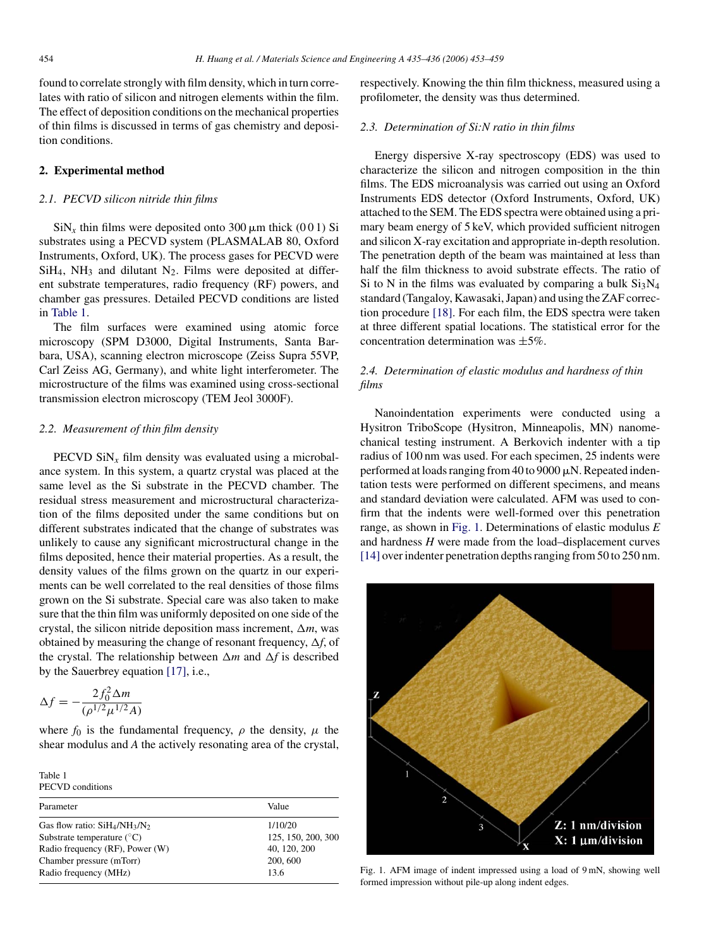<span id="page-3-0"></span>found to correlate strongly with film density, which in turn correlates with ratio of silicon and nitrogen elements within the film. The effect of deposition conditions on the mechanical properties of thin films is discussed in terms of gas chemistry and deposition conditions.

#### **2. Experimental method**

#### *2.1. PECVD silicon nitride thin films*

 $\sin X_x$  thin films were deposited onto 300  $\mu$ m thick (001) Si substrates using a PECVD system (PLASMALAB 80, Oxford Instruments, Oxford, UK). The process gases for PECVD were  $SiH<sub>4</sub>$ , NH<sub>3</sub> and dilutant N<sub>2</sub>. Films were deposited at different substrate temperatures, radio frequency (RF) powers, and chamber gas pressures. Detailed PECVD conditions are listed in Table 1.

The film surfaces were examined using atomic force microscopy (SPM D3000, Digital Instruments, Santa Barbara, USA), scanning electron microscope (Zeiss Supra 55VP, Carl Zeiss AG, Germany), and white light interferometer. The microstructure of the films was examined using cross-sectional transmission electron microscopy (TEM Jeol 3000F).

#### *2.2. Measurement of thin film density*

PECVD  $\text{SiN}_x$  film density was evaluated using a microbalance system. In this system, a quartz crystal was placed at the same level as the Si substrate in the PECVD chamber. The residual stress measurement and microstructural characterization of the films deposited under the same conditions but on different substrates indicated that the change of substrates was unlikely to cause any significant microstructural change in the films deposited, hence their material properties. As a result, the density values of the films grown on the quartz in our experiments can be well correlated to the real densities of those films grown on the Si substrate. Special care was also taken to make sure that the thin film was uniformly deposited on one side of the crystal, the silicon nitride deposition mass increment,  $\Delta m$ , was obtained by measuring the change of resonant frequency,  $\Delta f$ , of the crystal. The relationship between  $\Delta m$  and  $\Delta f$  is described by the Sauerbrey equation [\[17\],](#page-8-0) i.e.,

$$
\Delta f = -\frac{2f_0^2 \Delta m}{(\rho^{1/2} \mu^{1/2} A)}
$$

where  $f_0$  is the fundamental frequency,  $\rho$  the density,  $\mu$  the shear modulus and *A* the actively resonating area of the crystal,

Table 1 PECVD conditions

| Parameter                           | Value              |
|-------------------------------------|--------------------|
| Gas flow ratio: $SiH_4/NH_3/N_2$    | 1/10/20            |
| Substrate temperature $(^{\circ}C)$ | 125, 150, 200, 300 |
| Radio frequency (RF), Power (W)     | 40, 120, 200       |
| Chamber pressure (mTorr)            | 200, 600           |
| Radio frequency (MHz)               | 13.6               |

respectively. Knowing the thin film thickness, measured using a profilometer, the density was thus determined.

#### *2.3. Determination of Si:N ratio in thin films*

Energy dispersive X-ray spectroscopy (EDS) was used to characterize the silicon and nitrogen composition in the thin films. The EDS microanalysis was carried out using an Oxford Instruments EDS detector (Oxford Instruments, Oxford, UK) attached to the SEM. The EDS spectra were obtained using a primary beam energy of 5 keV, which provided sufficient nitrogen and silicon X-ray excitation and appropriate in-depth resolution. The penetration depth of the beam was maintained at less than half the film thickness to avoid substrate effects. The ratio of Si to N in the films was evaluated by comparing a bulk  $Si<sub>3</sub>N<sub>4</sub>$ standard (Tangaloy, Kawasaki, Japan) and using the ZAF correction procedure [\[18\].](#page-8-0) For each film, the EDS spectra were taken at three different spatial locations. The statistical error for the concentration determination was  $\pm 5\%$ .

#### *2.4. Determination of elastic modulus and hardness of thin films*

Nanoindentation experiments were conducted using a Hysitron TriboScope (Hysitron, Minneapolis, MN) nanomechanical testing instrument. A Berkovich indenter with a tip radius of 100 nm was used. For each specimen, 25 indents were performed at loads ranging from 40 to 9000  $\mu$ N. Repeated indentation tests were performed on different specimens, and means and standard deviation were calculated. AFM was used to confirm that the indents were well-formed over this penetration range, as shown in Fig. 1. Determinations of elastic modulus *E* and hardness *H* were made from the load–displacement curves [\[14\]](#page-8-0) over indenter penetration depths ranging from 50 to 250 nm.



Fig. 1. AFM image of indent impressed using a load of 9 mN, showing well formed impression without pile-up along indent edges.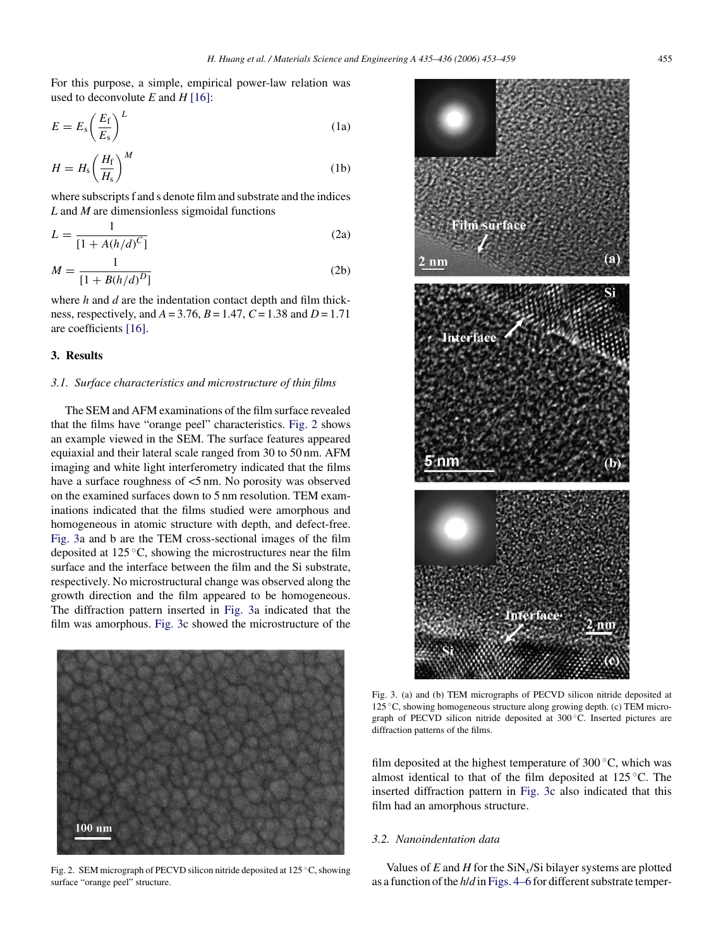<span id="page-4-0"></span>For this purpose, a simple, empirical power-law relation was used to deconvolute *E* and *H* [\[16\]:](#page-8-0)

$$
E = E_{\rm s} \left( \frac{E_{\rm f}}{E_{\rm s}} \right)^L \tag{1a}
$$

$$
H = H_{\rm s} \left(\frac{H_{\rm f}}{H_{\rm s}}\right)^M \tag{1b}
$$

where subscripts f and s denote film and substrate and the indices *L* and *M* are dimensionless sigmoidal functions

$$
L = \frac{1}{[1 + A(h/d)^C]}
$$
 (2a)

$$
M = \frac{1}{[1 + B(h/d)^D]}
$$
 (2b)

where *h* and *d* are the indentation contact depth and film thickness, respectively, and *A* = 3.76, *B* = 1.47, *C*= 1.38 and *D* = 1.71 are coefficients [\[16\].](#page-8-0)

#### **3. Results**

#### *3.1. Surface characteristics and microstructure of thin films*

The SEM and AFM examinations of the film surface revealed that the films have "orange peel" characteristics. Fig. 2 shows an example viewed in the SEM. The surface features appeared equiaxial and their lateral scale ranged from 30 to 50 nm. AFM imaging and white light interferometry indicated that the films have a surface roughness of  $\leq 5$  nm. No porosity was observed on the examined surfaces down to 5 nm resolution. TEM examinations indicated that the films studied were amorphous and homogeneous in atomic structure with depth, and defect-free. Fig. 3a and b are the TEM cross-sectional images of the film deposited at 125 ◦C, showing the microstructures near the film surface and the interface between the film and the Si substrate, respectively. No microstructural change was observed along the growth direction and the film appeared to be homogeneous. The diffraction pattern inserted in Fig. 3a indicated that the film was amorphous. Fig. 3c showed the microstructure of the



Fig. 2. SEM micrograph of PECVD silicon nitride deposited at 125 ◦C, showing surface "orange peel" structure.



Fig. 3. (a) and (b) TEM micrographs of PECVD silicon nitride deposited at 125 ◦C, showing homogeneous structure along growing depth. (c) TEM micrograph of PECVD silicon nitride deposited at 300 ◦C. Inserted pictures are diffraction patterns of the films.

film deposited at the highest temperature of  $300 °C$ , which was almost identical to that of the film deposited at 125 ◦C. The inserted diffraction pattern in Fig. 3c also indicated that this film had an amorphous structure.

#### *3.2. Nanoindentation data*

Values of  $E$  and  $H$  for the SiN<sub>x</sub>/Si bilayer systems are plotted as a function of the *h*/*d* in [Figs. 4–6](#page-5-0) for different substrate temper-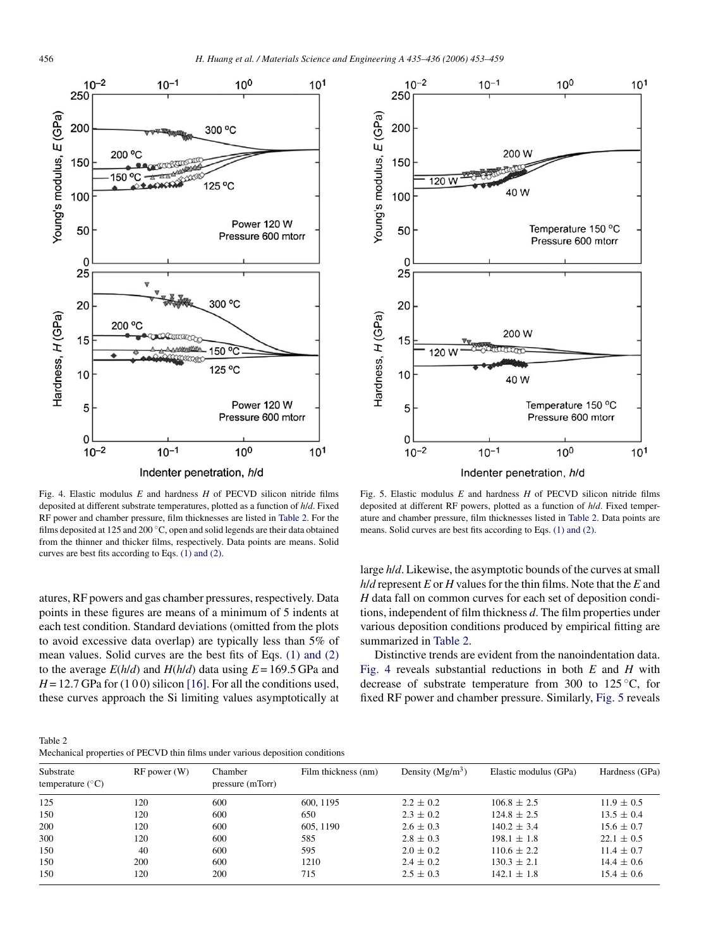<span id="page-5-0"></span>

Fig. 4. Elastic modulus *E* and hardness *H* of PECVD silicon nitride films deposited at different substrate temperatures, plotted as a function of *h*/*d*. Fixed RF power and chamber pressure, film thicknesses are listed in Table 2. For the films deposited at 125 and 200 °C, open and solid legends are their data obtained from the thinner and thicker films, respectively. Data points are means. Solid curves are best fits according to Eqs. [\(1\) and \(2\).](#page-4-0)

atures, RF powers and gas chamber pressures, respectively. Data points in these figures are means of a minimum of 5 indents at each test condition. Standard deviations (omitted from the plots to avoid excessive data overlap) are typically less than 5% of mean values. Solid curves are the best fits of Eqs. [\(1\) and \(2\)](#page-4-0) to the average  $E(h/d)$  and  $H(h/d)$  data using  $E = 169.5$  GPa and  $H = 12.7$  GPa for  $(100)$  silicon [\[16\]. F](#page-8-0)or all the conditions used, these curves approach the Si limiting values asymptotically at



Fig. 5. Elastic modulus *E* and hardness *H* of PECVD silicon nitride films deposited at different RF powers, plotted as a function of *h*/*d*. Fixed temperature and chamber pressure, film thicknesses listed in Table 2. Data points are means. Solid curves are best fits according to Eqs. [\(1\) and \(2\).](#page-4-0)

large *h*/*d*. Likewise, the asymptotic bounds of the curves at small *h*/*d* represent *E* or *H* values for the thin films. Note that the *E* and *H* data fall on common curves for each set of deposition conditions, independent of film thickness *d*. The film properties under various deposition conditions produced by empirical fitting are summarized in Table 2.

Distinctive trends are evident from the nanoindentation data. Fig. 4 reveals substantial reductions in both *E* and *H* with decrease of substrate temperature from 300 to 125 ◦C, for fixed RF power and chamber pressure. Similarly, Fig. 5 reveals

Table 2 Mechanical properties of PECVD thin films under various deposition conditions

| Substrate<br>temperature $(^{\circ}C)$ | $RF$ power $(W)$ | Chamber<br>pressure (mTorr) | Film thickness (nm) | Density $(Mg/m^3)$ | Elastic modulus (GPa) | Hardness (GPa) |  |  |
|----------------------------------------|------------------|-----------------------------|---------------------|--------------------|-----------------------|----------------|--|--|
| 125                                    | 120              | 600                         | 600, 1195           | $2.2 \pm 0.2$      | $106.8 \pm 2.5$       | $11.9 \pm 0.5$ |  |  |
| 150                                    | 120              | 600                         | 650                 | $2.3 \pm 0.2$      | $124.8 \pm 2.5$       | $13.5 \pm 0.4$ |  |  |
| 200                                    | 120              | 600                         | 605, 1190           | $2.6 \pm 0.3$      | $140.2 \pm 3.4$       | $15.6 \pm 0.7$ |  |  |
| 300                                    | 120              | 600                         | 585                 | $2.8 \pm 0.3$      | $198.1 \pm 1.8$       | $22.1 \pm 0.5$ |  |  |
| 150                                    | 40               | 600                         | 595                 | $2.0 \pm 0.2$      | $110.6 \pm 2.2$       | $11.4 \pm 0.7$ |  |  |
| 150                                    | 200              | 600                         | 1210                | $2.4 \pm 0.2$      | $130.3 \pm 2.1$       | $14.4 \pm 0.6$ |  |  |
| 150                                    | 120              | 200                         | 715                 | $2.5 \pm 0.3$      | $142.1 \pm 1.8$       | $15.4 \pm 0.6$ |  |  |
|                                        |                  |                             |                     |                    |                       |                |  |  |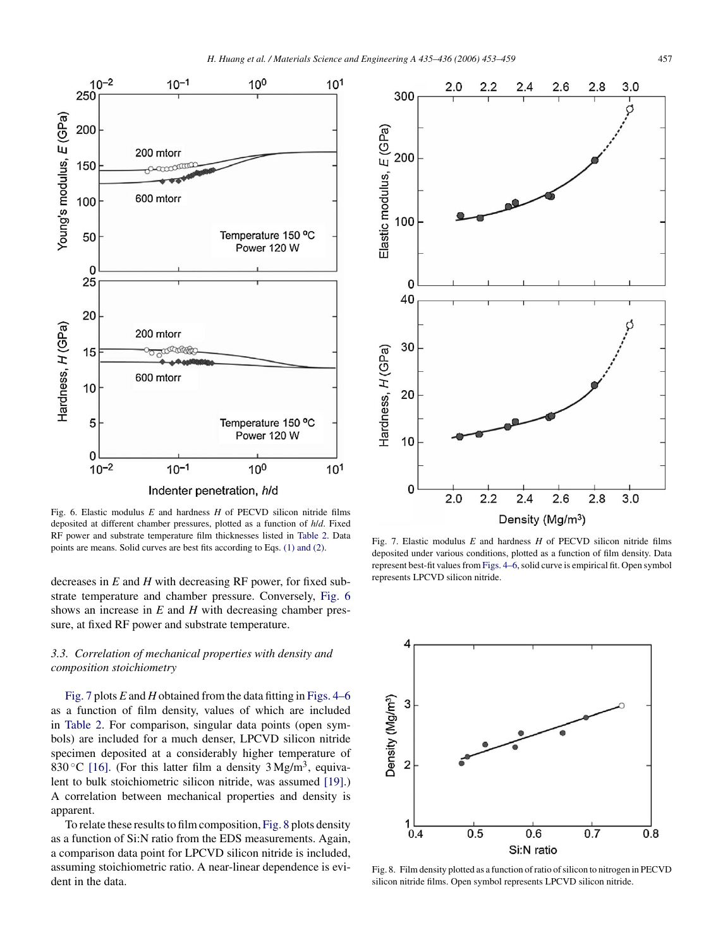<span id="page-6-0"></span>

Fig. 6. Elastic modulus *E* and hardness *H* of PECVD silicon nitride films deposited at different chamber pressures, plotted as a function of *h*/*d*. Fixed RF power and substrate temperature film thicknesses listed in [Table 2.](#page-5-0) Data points are means. Solid curves are best fits according to Eqs. [\(1\) and \(2\).](#page-4-0)

decreases in *E* and *H* with decreasing RF power, for fixed substrate temperature and chamber pressure. Conversely, Fig. 6 shows an increase in *E* and *H* with decreasing chamber pressure, at fixed RF power and substrate temperature.

#### *3.3. Correlation of mechanical properties with density and composition stoichiometry*

Fig. 7 plots *E* and *H* obtained from the data fitting in [Figs. 4–6](#page-5-0) as a function of film density, values of which are included in [Table 2.](#page-5-0) For comparison, singular data points (open symbols) are included for a much denser, LPCVD silicon nitride specimen deposited at a considerably higher temperature of 830 °C [\[16\].](#page-8-0) (For this latter film a density  $3 \text{ Mg/m}^3$ , equivalent to bulk stoichiometric silicon nitride, was assumed [\[19\].\)](#page-8-0) A correlation between mechanical properties and density is apparent.

To relate these results to film composition, Fig. 8 plots density as a function of Si:N ratio from the EDS measurements. Again, a comparison data point for LPCVD silicon nitride is included, assuming stoichiometric ratio. A near-linear dependence is evident in the data.



Fig. 7. Elastic modulus *E* and hardness *H* of PECVD silicon nitride films deposited under various conditions, plotted as a function of film density. Data represent best-fit values from [Figs. 4–6, s](#page-5-0)olid curve is empirical fit. Open symbol represents LPCVD silicon nitride.



Fig. 8. Film density plotted as a function of ratio of silicon to nitrogen in PECVD silicon nitride films. Open symbol represents LPCVD silicon nitride.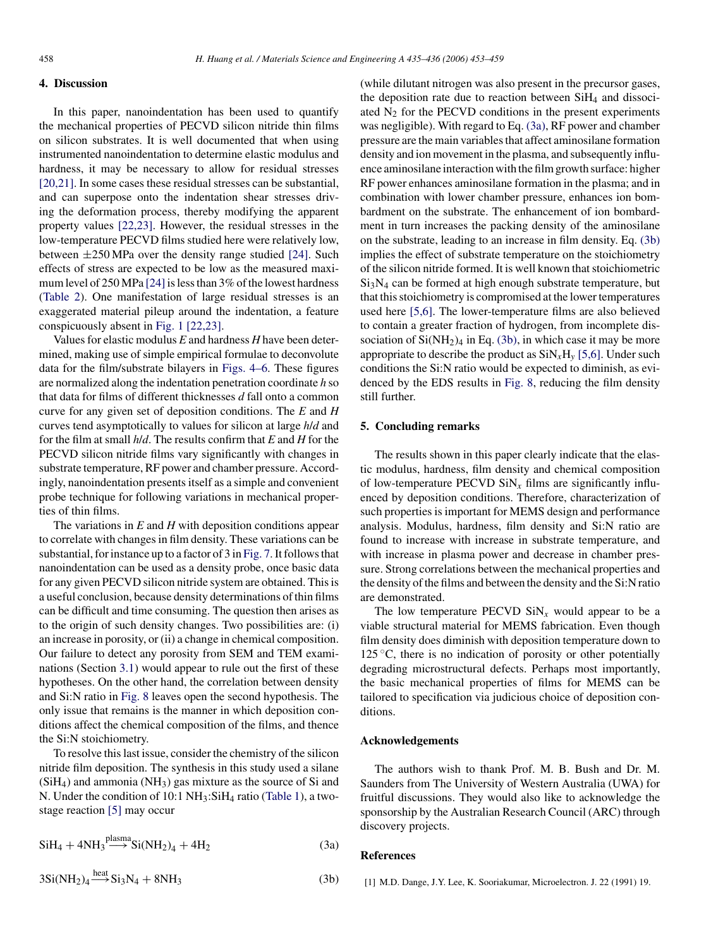#### <span id="page-7-0"></span>**4. Discussion**

In this paper, nanoindentation has been used to quantify the mechanical properties of PECVD silicon nitride thin films on silicon substrates. It is well documented that when using instrumented nanoindentation to determine elastic modulus and hardness, it may be necessary to allow for residual stresses [\[20,21\]. I](#page-8-0)n some cases these residual stresses can be substantial, and can superpose onto the indentation shear stresses driving the deformation process, thereby modifying the apparent property values [\[22,23\].](#page-8-0) However, the residual stresses in the low-temperature PECVD films studied here were relatively low, between ±250 MPa over the density range studied [\[24\].](#page-8-0) Such effects of stress are expected to be low as the measured maximum level of 250 MPa [\[24\]is](#page-8-0) less than 3% of the lowest hardness [\(Table 2\)](#page-5-0). One manifestation of large residual stresses is an exaggerated material pileup around the indentation, a feature conspicuously absent in [Fig. 1](#page-3-0) [\[22,23\].](#page-8-0)

Values for elastic modulus *E* and hardness *H* have been determined, making use of simple empirical formulae to deconvolute data for the film/substrate bilayers in [Figs. 4–6.](#page-5-0) These figures are normalized along the indentation penetration coordinate *h* so that data for films of different thicknesses *d* fall onto a common curve for any given set of deposition conditions. The *E* and *H* curves tend asymptotically to values for silicon at large *h*/*d* and for the film at small *h*/*d*. The results confirm that *E* and *H* for the PECVD silicon nitride films vary significantly with changes in substrate temperature, RF power and chamber pressure. Accordingly, nanoindentation presents itself as a simple and convenient probe technique for following variations in mechanical properties of thin films.

The variations in *E* and *H* with deposition conditions appear to correlate with changes in film density. These variations can be substantial, for instance up to a factor of 3 in [Fig. 7. I](#page-6-0)t follows that nanoindentation can be used as a density probe, once basic data for any given PECVD silicon nitride system are obtained. This is a useful conclusion, because density determinations of thin films can be difficult and time consuming. The question then arises as to the origin of such density changes. Two possibilities are: (i) an increase in porosity, or (ii) a change in chemical composition. Our failure to detect any porosity from SEM and TEM examinations (Section [3.1\)](#page-4-0) would appear to rule out the first of these hypotheses. On the other hand, the correlation between density and Si:N ratio in [Fig. 8](#page-6-0) leaves open the second hypothesis. The only issue that remains is the manner in which deposition conditions affect the chemical composition of the films, and thence the Si:N stoichiometry.

To resolve this last issue, consider the chemistry of the silicon nitride film deposition. The synthesis in this study used a silane  $(SiH<sub>4</sub>)$  and ammonia  $(NH<sub>3</sub>)$  gas mixture as the source of Si and N. Under the condition of 10:1 NH3:SiH4 ratio [\(Table 1\),](#page-3-0) a twostage reaction [\[5\]](#page-8-0) may occur

$$
SiH_4 + 4NH_3 \xrightarrow{plasma} Si(NH_2)_4 + 4H_2
$$
\n(3a)

$$
3Si(NH_2)_4 \xrightarrow{heat} Si_3N_4 + 8NH_3 \tag{3b}
$$

(while dilutant nitrogen was also present in the precursor gases, the deposition rate due to reaction between SiH4 and dissociated  $N_2$  for the PECVD conditions in the present experiments was negligible). With regard to Eq. (3a), RF power and chamber pressure are the main variables that affect aminosilane formation density and ion movement in the plasma, and subsequently influence aminosilane interaction with the film growth surface: higher RF power enhances aminosilane formation in the plasma; and in combination with lower chamber pressure, enhances ion bombardment on the substrate. The enhancement of ion bombardment in turn increases the packing density of the aminosilane on the substrate, leading to an increase in film density. Eq. (3b) implies the effect of substrate temperature on the stoichiometry of the silicon nitride formed. It is well known that stoichiometric  $Si<sub>3</sub>N<sub>4</sub>$  can be formed at high enough substrate temperature, but that this stoichiometry is compromised at the lower temperatures used here [\[5,6\].](#page-8-0) The lower-temperature films are also believed to contain a greater fraction of hydrogen, from incomplete dissociation of  $Si(NH<sub>2</sub>)<sub>4</sub>$  in Eq. (3b), in which case it may be more appropriate to describe the product as  $\text{SiN}_x\text{H}_y$  [\[5,6\]. U](#page-8-0)nder such conditions the Si:N ratio would be expected to diminish, as evidenced by the EDS results in [Fig. 8,](#page-6-0) reducing the film density still further.

#### **5. Concluding remarks**

The results shown in this paper clearly indicate that the elastic modulus, hardness, film density and chemical composition of low-temperature PECVD  $\text{SiN}_x$  films are significantly influenced by deposition conditions. Therefore, characterization of such properties is important for MEMS design and performance analysis. Modulus, hardness, film density and Si:N ratio are found to increase with increase in substrate temperature, and with increase in plasma power and decrease in chamber pressure. Strong correlations between the mechanical properties and the density of the films and between the density and the Si:N ratio are demonstrated.

The low temperature PECVD  $\text{SiN}_x$  would appear to be a viable structural material for MEMS fabrication. Even though film density does diminish with deposition temperature down to 125  $\degree$ C, there is no indication of porosity or other potentially degrading microstructural defects. Perhaps most importantly, the basic mechanical properties of films for MEMS can be tailored to specification via judicious choice of deposition conditions.

#### **Acknowledgements**

The authors wish to thank Prof. M. B. Bush and Dr. M. Saunders from The University of Western Australia (UWA) for fruitful discussions. They would also like to acknowledge the sponsorship by the Australian Research Council (ARC) through discovery projects.

#### **References**